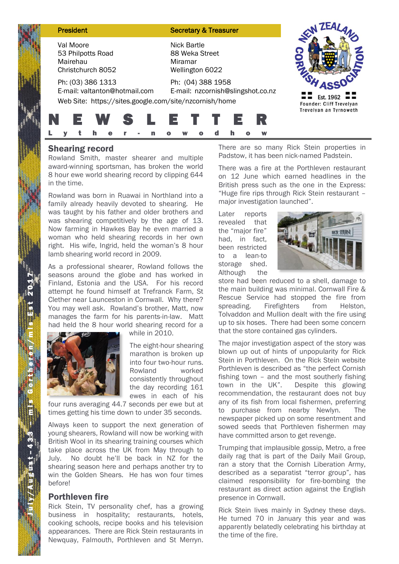| <b>President</b>                                                                                             | <b>Secretary &amp; Treasurer</b>                                   |                                       |
|--------------------------------------------------------------------------------------------------------------|--------------------------------------------------------------------|---------------------------------------|
| Val Moore<br>53 Philpotts Road<br>Mairehau<br>Christchurch 8052                                              | <b>Nick Bartle</b><br>88 Weka Street<br>Miramar<br>Wellington 6022 |                                       |
| Ph: (03) 386 1313<br>E-mail: valtanton@hotmail.com<br>Web Site: https://sites.google.com/site/nzcornish/home | Ph: (04) 388 1958<br>E-mail: nzcornish@slingshot.co.nz             | Est. 1962<br>Founder: Cliff Trevelyan |
| <b>EWSLETT</b>                                                                                               | h<br>W                                                             | Trevelyan an Tyrnoweth                |

## Shearing record

Rowland Smith, master shearer and multiple award-winning sportsman, has broken the world 8 hour ewe world shearing record by clipping 644 in the time.

Rowland was born in Ruawai in Northland into a family already heavily devoted to shearing. He was taught by his father and older brothers and was shearing competitively by the age of 13. Now farming in Hawkes Bay he even married a woman who held shearing records in her own right. His wife, Ingrid, held the woman's 8 hour lamb shearing world record in 2009.

As a professional shearer, Rowland follows the seasons around the globe and has worked in Finland, Estonia and the USA. For his record attempt he found himself at Trefranck Farm, St Clether near Launceston in Cornwall. Why there? You may well ask. Rowland's brother, Matt, now manages the farm for his parents-in-law. Matt had held the 8 hour world shearing record for a



while in 2010.

The eight-hour shearing marathon is broken up into four two-hour runs. Rowland worked consistently throughout the day recording 161 ewes in each of his

four runs averaging 44.7 seconds per ewe but at times getting his time down to under 35 seconds.

Always keen to support the next generation of young shearers, Rowland will now be working with British Wool in its shearing training courses which take place across the UK from May through to July. No doubt he'll be back in NZ for the shearing season here and perhaps another try to win the Golden Shears. He has won four times before!

#### Porthleven fire

Rick Stein, TV personality chef, has a growing business in hospitality; restaurants, hotels, cooking schools, recipe books and his television appearances. There are Rick Stein restaurants in Newquay, Falmouth, Porthleven and St Merryn.

There are so many Rick Stein properties in Padstow, it has been nick-named Padstein.

There was a fire at the Porthleven restaurant on 12 June which earned headlines in the British press such as the one in the Express: "Huge fire rips through Rick Stein restaurant – major investigation launched".

Later reports revealed that the "major fire" had, in fact, been restricted to a lean-to storage shed. Although the



store had been reduced to a shell, damage to the main building was minimal. Cornwall Fire & Rescue Service had stopped the fire from spreading. Firefighters from Helston, Tolvaddon and Mullion dealt with the fire using up to six hoses. There had been some concern that the store contained gas cylinders.

The major investigation aspect of the story was blown up out of hints of unpopularity for Rick Stein in Porthleven. On the Rick Stein website Porthleven is described as "the perfect Cornish fishing town – and the most southerly fishing town in the UK". Despite this glowing recommendation, the restaurant does not buy any of its fish from local fishermen, preferring to purchase from nearby Newlyn. The newspaper picked up on some resentment and sowed seeds that Porthleven fishermen may have committed arson to get revenge.

Trumping that implausible gossip, Metro, a free daily rag that is part of the Daily Mail Group, ran a story that the Cornish Liberation Army, described as a separatist "terror group", has claimed responsibility for fire-bombing the restaurant as direct action against the English presence in Cornwall.

Rick Stein lives mainly in Sydney these days. He turned 70 in January this year and was apparently belatedly celebrating his birthday at the time of the fire.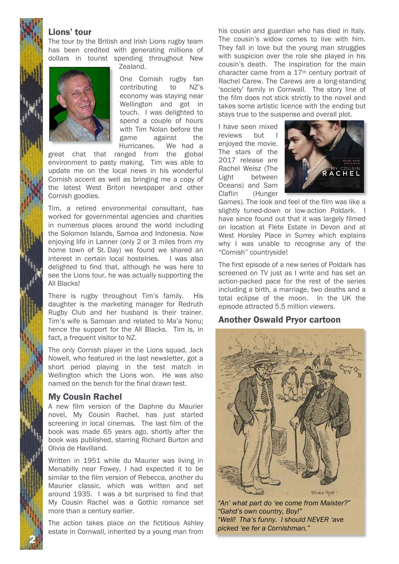## Lions' tour

The tour by the British and Irish Lions rugby team has been credited with generating millions of dollars in tourist spending throughout New



Zealand.

One Cornish rugby fan contributing to NZ's economy was staying near Wellington and got in touch. I was delighted to spend a couple of hours with Tim Nolan before the game against the Hurricanes. We had a

great chat that ranged from the global environment to pasty making. Tim was able to update me on the local news in his wonderful Cornish accent as well as bringing me a copy of the latest West Briton newspaper and other Cornish goodies.

Tim, a retired environmental consultant, has worked for governmental agencies and charities in numerous places around the world including the Solomon Islands, Samoa and Indonesia. Now enjoying life in Lanner (only 2 or 3 miles from my home town of St. Day) we found we shared an interest in certain local hostelries. I was also delighted to find that, although he was here to see the Lions tour, he was actually supporting the All Blacks!

There is rugby throughout Tim's family. His daughter is the marketing manager for Redruth Rugby Club and her husband is their trainer. Tim's wife is Samoan and related to Ma'a Nonu; hence the support for the All Blacks. Tim is, in fact, a frequent visitor to NZ.

The only Cornish player in the Lions squad, Jack Nowell, who featured in the last newsletter, got a short period playing in the test match in Wellington which the Lions won. He was also named on the bench for the final drawn test.

#### My Cousin Rachel

2 N

A new film version of the Daphne du Maurier novel, My Cousin Rachel, has just started screening in local cinemas. The last film of the book was made 65 years ago, shortly after the book was published, starring Richard Burton and Olivia de Havilland.

Written in 1951 while du Maurier was living in Menabilly near Fowey, I had expected it to be similar to the film version of Rebecca, another du Maurier classic, which was written and set around 1935. I was a bit surprised to find that My Cousin Rachel was a Gothic romance set more than a century earlier.

The action takes place on the fictitious Ashley estate in Cornwall, inherited by a young man from his cousin and guardian who has died in Italy. The cousin's widow comes to live with him. They fall in love but the young man struggles with suspicion over the role she played in his cousin's death. The inspiration for the main character came from a 17th century portrait of Rachel Carew. The Carews are a long-standing 'society' family in Cornwall. The story line of the film does not stick strictly to the novel and takes some artistic licence with the ending but stays true to the suspense and overall plot.

I have seen mixed reviews but I enjoyed the movie. The stars of the 2017 release are Rachel Weisz (The Light between Oceans) and Sam Claflin (Hunger



Games). The look and feel of the film was like a slightly tuned-down or low-action Poldark. I have since found out that it was largely filmed on location at Flete Estate in Devon and at West Horsley Place in Surrey which explains why I was unable to recognise any of the "Cornish" countryside!

The first episode of a new series of Poldark has screened on TV just as I write and has set an action-packed pace for the rest of the series including a birth, a marriage, two deaths and a total eclipse of the moon. In the UK the episode attracted 5.5 million viewers.

#### Another Oswald Pryor cartoon



*"An' what part do 'ee come from Maister?" "Gahd's own country, Boy!" "Well! Tha's funny. I should NEVER 'ave picked 'ee fer a Cornishman."*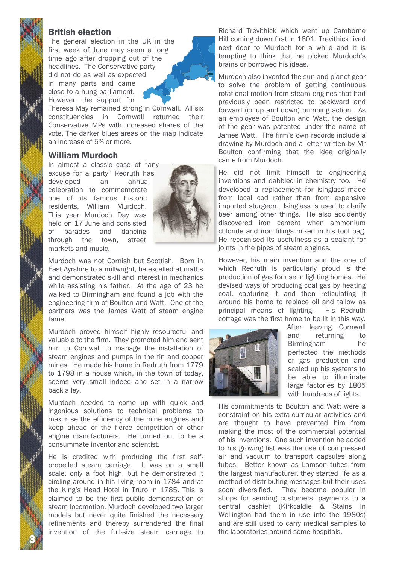# British election

The general election in the UK in the first week of June may seem a long time ago after dropping out of the headlines. The Conservative party did not do as well as expected in many parts and came close to a hung parliament. However, the support for

Theresa May remained strong in Cornwall. All six constituencies in Cornwall returned their Conservative MPs with increased shares of the vote. The darker blues areas on the map indicate an increase of 5% or more.

#### William Murdoch

In almost a classic case of "any excuse for a party" Redruth has developed an annual celebration to commemorate one of its famous historic residents, William Murdoch. This year Murdoch Day was held on 17 June and consisted of parades and dancing through the town, street markets and music.



Murdoch was not Cornish but Scottish. Born in East Ayrshire to a millwright, he excelled at maths and demonstrated skill and interest in mechanics while assisting his father. At the age of 23 he walked to Birmingham and found a job with the engineering firm of Boulton and Watt. One of the partners was the James Watt of steam engine fame.

Murdoch proved himself highly resourceful and valuable to the firm. They promoted him and sent him to Cornwall to manage the installation of steam engines and pumps in the tin and copper mines. He made his home in Redruth from 1779 to 1798 in a house which, in the town of today, seems very small indeed and set in a narrow back alley.

Murdoch needed to come up with quick and ingenious solutions to technical problems to maximise the efficiency of the mine engines and keep ahead of the fierce competition of other engine manufacturers. He turned out to be a consummate inventor and scientist.

He is credited with producing the first selfpropelled steam carriage. It was on a small scale, only a foot high, but he demonstrated it circling around in his living room in 1784 and at the King's Head Hotel in Truro in 1785. This is claimed to be the first public demonstration of steam locomotion. Murdoch developed two larger models but never quite finished the necessary refinements and thereby surrendered the final invention of the full-size steam carriage to

3 N

Richard Trevithick which went up Camborne Hill coming down first in 1801. Trevithick lived next door to Murdoch for a while and it is tempting to think that he picked Murdoch's brains or borrowed his ideas.

Murdoch also invented the sun and planet gear to solve the problem of getting continuous rotational motion from steam engines that had previously been restricted to backward and forward (or up and down) pumping action. As an employee of Boulton and Watt, the design of the gear was patented under the name of James Watt. The firm's own records include a drawing by Murdoch and a letter written by Mr Boulton confirming that the idea originally came from Murdoch.

He did not limit himself to engineering inventions and dabbled in chemistry too. He developed a replacement for isinglass made from local cod rather than from expensive imported sturgeon. Isinglass is used to clarify beer among other things. He also accidently discovered iron cement when ammonium chloride and iron filings mixed in his tool bag. He recognised its usefulness as a sealant for joints in the pipes of steam engines.

However, his main invention and the one of which Redruth is particularly proud is the production of gas for use in lighting homes. He devised ways of producing coal gas by heating coal, capturing it and then reticulating it around his home to replace oil and tallow as principal means of lighting. His Redruth cottage was the first home to be lit in this way.



After leaving Cornwall and returning to Birmingham he perfected the methods of gas production and scaled up his systems to be able to illuminate large factories by 1805 with hundreds of lights.

His commitments to Boulton and Watt were a constraint on his extra-curricular activities and are thought to have prevented him from making the most of the commercial potential of his inventions. One such invention he added to his growing list was the use of compressed air and vacuum to transport capsules along tubes. Better known as Lamson tubes from the largest manufacturer, they started life as a method of distributing messages but their uses soon diversified. They became popular in shops for sending customers' payments to a central cashier (Kirkcaldie & Stains in Wellington had them in use into the 1980s) and are still used to carry medical samples to the laboratories around some hospitals.